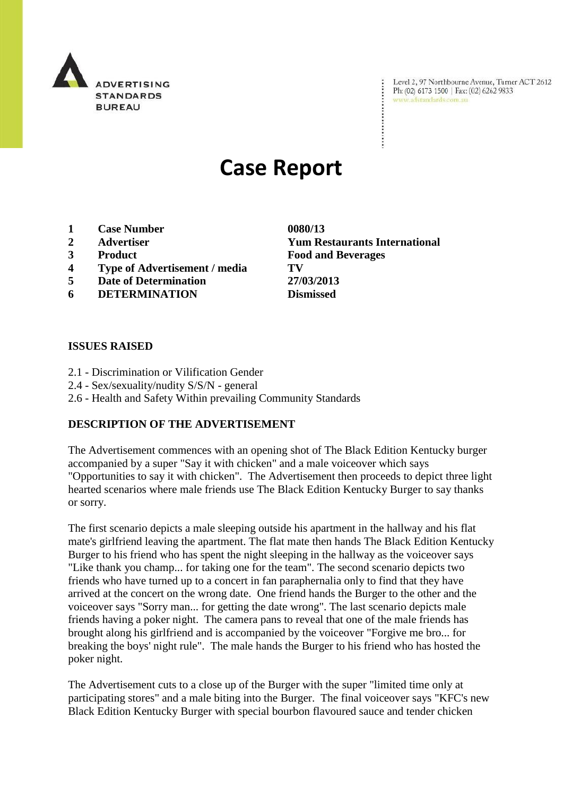

Level 2, 97 Northbourne Avenue, Turner ACT 2612 Ph: (02) 6173 1500 | Fax: (02) 6262 9833 www.adstandards.com.au

# **Case Report**

- **1 Case Number 0080/13**
- 
- 
- **4 Type of Advertisement / media TV**
- **5 Date of Determination 27/03/2013**
- **6 DETERMINATION Dismissed**

### **ISSUES RAISED**

- 2.1 Discrimination or Vilification Gender
- 2.4 Sex/sexuality/nudity S/S/N general
- 2.6 Health and Safety Within prevailing Community Standards

#### **DESCRIPTION OF THE ADVERTISEMENT**

The Advertisement commences with an opening shot of The Black Edition Kentucky burger accompanied by a super "Say it with chicken" and a male voiceover which says "Opportunities to say it with chicken". The Advertisement then proceeds to depict three light hearted scenarios where male friends use The Black Edition Kentucky Burger to say thanks or sorry.

The first scenario depicts a male sleeping outside his apartment in the hallway and his flat mate's girlfriend leaving the apartment. The flat mate then hands The Black Edition Kentucky Burger to his friend who has spent the night sleeping in the hallway as the voiceover says "Like thank you champ... for taking one for the team". The second scenario depicts two friends who have turned up to a concert in fan paraphernalia only to find that they have arrived at the concert on the wrong date. One friend hands the Burger to the other and the voiceover says "Sorry man... for getting the date wrong". The last scenario depicts male friends having a poker night. The camera pans to reveal that one of the male friends has brought along his girlfriend and is accompanied by the voiceover "Forgive me bro... for breaking the boys' night rule". The male hands the Burger to his friend who has hosted the poker night.

The Advertisement cuts to a close up of the Burger with the super "limited time only at participating stores" and a male biting into the Burger. The final voiceover says "KFC's new Black Edition Kentucky Burger with special bourbon flavoured sauce and tender chicken

**2 Advertiser Yum Restaurants International 3 Product Food and Beverages**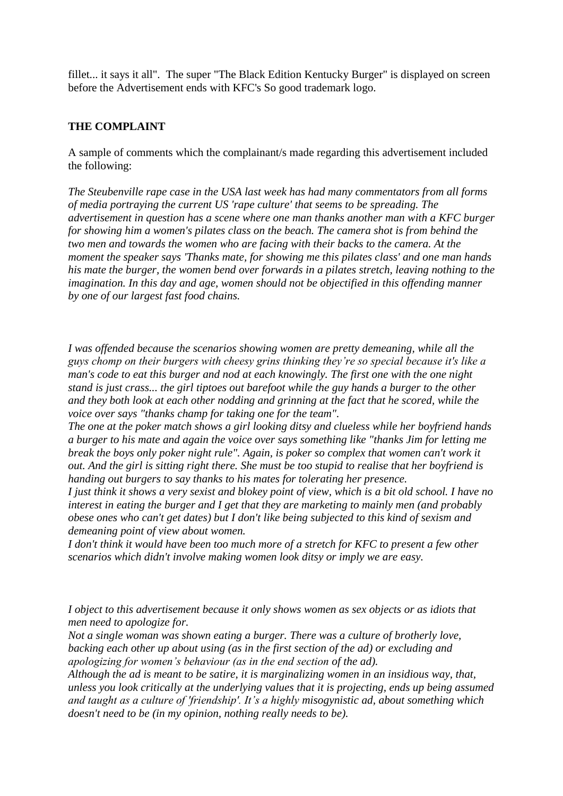fillet... it says it all". The super "The Black Edition Kentucky Burger" is displayed on screen before the Advertisement ends with KFC's So good trademark logo.

## **THE COMPLAINT**

A sample of comments which the complainant/s made regarding this advertisement included the following:

*The Steubenville rape case in the USA last week has had many commentators from all forms of media portraying the current US 'rape culture' that seems to be spreading. The advertisement in question has a scene where one man thanks another man with a KFC burger for showing him a women's pilates class on the beach. The camera shot is from behind the two men and towards the women who are facing with their backs to the camera. At the moment the speaker says 'Thanks mate, for showing me this pilates class' and one man hands his mate the burger, the women bend over forwards in a pilates stretch, leaving nothing to the imagination. In this day and age, women should not be objectified in this offending manner by one of our largest fast food chains.*

*I was offended because the scenarios showing women are pretty demeaning, while all the guys chomp on their burgers with cheesy grins thinking they're so special because it's like a man's code to eat this burger and nod at each knowingly. The first one with the one night stand is just crass... the girl tiptoes out barefoot while the guy hands a burger to the other and they both look at each other nodding and grinning at the fact that he scored, while the voice over says "thanks champ for taking one for the team".*

*The one at the poker match shows a girl looking ditsy and clueless while her boyfriend hands a burger to his mate and again the voice over says something like "thanks Jim for letting me break the boys only poker night rule". Again, is poker so complex that women can't work it out. And the girl is sitting right there. She must be too stupid to realise that her boyfriend is handing out burgers to say thanks to his mates for tolerating her presence.*

*I just think it shows a very sexist and blokey point of view, which is a bit old school. I have no interest in eating the burger and I get that they are marketing to mainly men (and probably obese ones who can't get dates) but I don't like being subjected to this kind of sexism and demeaning point of view about women.*

*I don't think it would have been too much more of a stretch for KFC to present a few other scenarios which didn't involve making women look ditsy or imply we are easy.*

*I object to this advertisement because it only shows women as sex objects or as idiots that men need to apologize for.*

*Not a single woman was shown eating a burger. There was a culture of brotherly love, backing each other up about using (as in the first section of the ad) or excluding and apologizing for women's behaviour (as in the end section of the ad).*

*Although the ad is meant to be satire, it is marginalizing women in an insidious way, that, unless you look critically at the underlying values that it is projecting, ends up being assumed and taught as a culture of 'friendship'. It's a highly misogynistic ad, about something which doesn't need to be (in my opinion, nothing really needs to be).*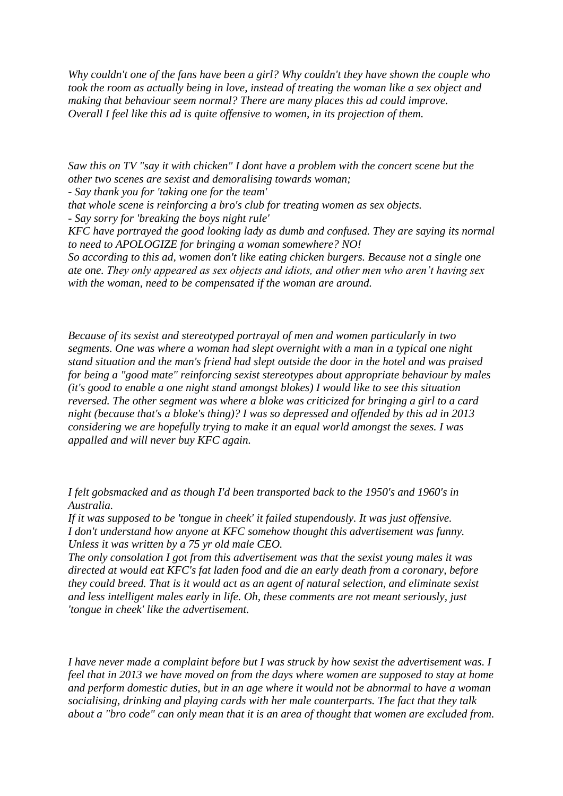*Why couldn't one of the fans have been a girl? Why couldn't they have shown the couple who took the room as actually being in love, instead of treating the woman like a sex object and making that behaviour seem normal? There are many places this ad could improve. Overall I feel like this ad is quite offensive to women, in its projection of them.*

*Saw this on TV "say it with chicken" I dont have a problem with the concert scene but the other two scenes are sexist and demoralising towards woman;*

*- Say thank you for 'taking one for the team'*

*that whole scene is reinforcing a bro's club for treating women as sex objects.*

*- Say sorry for 'breaking the boys night rule'*

*KFC have portrayed the good looking lady as dumb and confused. They are saying its normal to need to APOLOGIZE for bringing a woman somewhere? NO!*

*So according to this ad, women don't like eating chicken burgers. Because not a single one ate one. They only appeared as sex objects and idiots, and other men who aren't having sex with the woman, need to be compensated if the woman are around.*

*Because of its sexist and stereotyped portrayal of men and women particularly in two segments. One was where a woman had slept overnight with a man in a typical one night stand situation and the man's friend had slept outside the door in the hotel and was praised for being a "good mate" reinforcing sexist stereotypes about appropriate behaviour by males (it's good to enable a one night stand amongst blokes) I would like to see this situation reversed. The other segment was where a bloke was criticized for bringing a girl to a card night (because that's a bloke's thing)? I was so depressed and offended by this ad in 2013 considering we are hopefully trying to make it an equal world amongst the sexes. I was appalled and will never buy KFC again.*

*I felt gobsmacked and as though I'd been transported back to the 1950's and 1960's in Australia.*

*If it was supposed to be 'tongue in cheek' it failed stupendously. It was just offensive. I don't understand how anyone at KFC somehow thought this advertisement was funny. Unless it was written by a 75 yr old male CEO.*

*The only consolation I got from this advertisement was that the sexist young males it was directed at would eat KFC's fat laden food and die an early death from a coronary, before they could breed. That is it would act as an agent of natural selection, and eliminate sexist and less intelligent males early in life. Oh, these comments are not meant seriously, just 'tongue in cheek' like the advertisement.*

*I have never made a complaint before but I was struck by how sexist the advertisement was. I feel that in 2013 we have moved on from the days where women are supposed to stay at home and perform domestic duties, but in an age where it would not be abnormal to have a woman socialising, drinking and playing cards with her male counterparts. The fact that they talk about a "bro code" can only mean that it is an area of thought that women are excluded from.*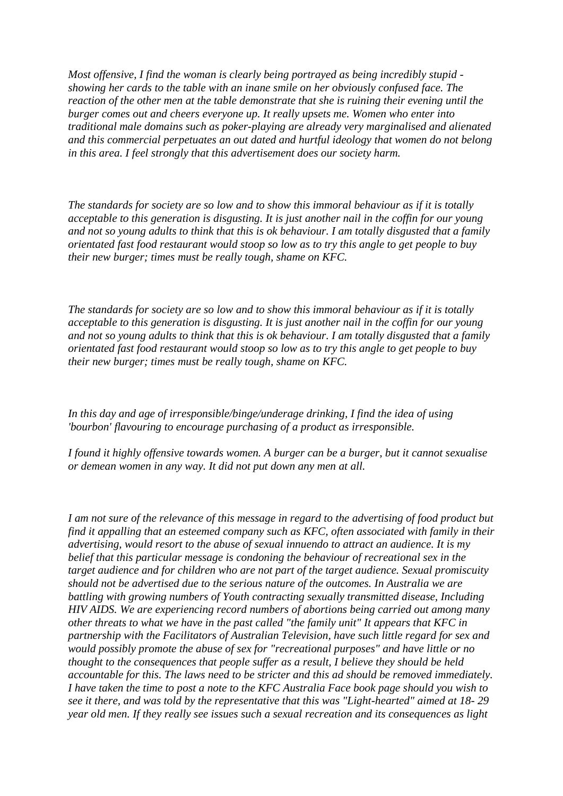*Most offensive, I find the woman is clearly being portrayed as being incredibly stupid showing her cards to the table with an inane smile on her obviously confused face. The reaction of the other men at the table demonstrate that she is ruining their evening until the burger comes out and cheers everyone up. It really upsets me. Women who enter into traditional male domains such as poker-playing are already very marginalised and alienated and this commercial perpetuates an out dated and hurtful ideology that women do not belong in this area. I feel strongly that this advertisement does our society harm.*

*The standards for society are so low and to show this immoral behaviour as if it is totally acceptable to this generation is disgusting. It is just another nail in the coffin for our young and not so young adults to think that this is ok behaviour. I am totally disgusted that a family orientated fast food restaurant would stoop so low as to try this angle to get people to buy their new burger; times must be really tough, shame on KFC.*

*The standards for society are so low and to show this immoral behaviour as if it is totally acceptable to this generation is disgusting. It is just another nail in the coffin for our young and not so young adults to think that this is ok behaviour. I am totally disgusted that a family orientated fast food restaurant would stoop so low as to try this angle to get people to buy their new burger; times must be really tough, shame on KFC.*

*In this day and age of irresponsible/binge/underage drinking, I find the idea of using 'bourbon' flavouring to encourage purchasing of a product as irresponsible.*

*I found it highly offensive towards women. A burger can be a burger, but it cannot sexualise or demean women in any way. It did not put down any men at all.*

*I am not sure of the relevance of this message in regard to the advertising of food product but find it appalling that an esteemed company such as KFC, often associated with family in their advertising, would resort to the abuse of sexual innuendo to attract an audience. It is my belief that this particular message is condoning the behaviour of recreational sex in the target audience and for children who are not part of the target audience. Sexual promiscuity should not be advertised due to the serious nature of the outcomes. In Australia we are battling with growing numbers of Youth contracting sexually transmitted disease, Including HIV AIDS. We are experiencing record numbers of abortions being carried out among many other threats to what we have in the past called "the family unit" It appears that KFC in partnership with the Facilitators of Australian Television, have such little regard for sex and would possibly promote the abuse of sex for "recreational purposes" and have little or no thought to the consequences that people suffer as a result, I believe they should be held accountable for this. The laws need to be stricter and this ad should be removed immediately. I have taken the time to post a note to the KFC Australia Face book page should you wish to see it there, and was told by the representative that this was "Light-hearted" aimed at 18- 29 year old men. If they really see issues such a sexual recreation and its consequences as light*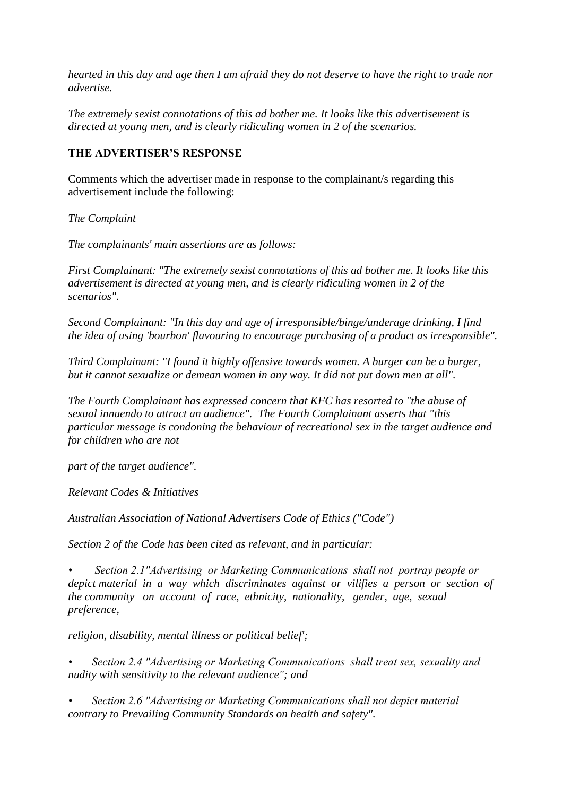*hearted in this day and age then I am afraid they do not deserve to have the right to trade nor advertise.*

*The extremely sexist connotations of this ad bother me. It looks like this advertisement is directed at young men, and is clearly ridiculing women in 2 of the scenarios.*

#### **THE ADVERTISER'S RESPONSE**

Comments which the advertiser made in response to the complainant/s regarding this advertisement include the following:

*The Complaint*

*The complainants' main assertions are as follows:*

*First Complainant: "The extremely sexist connotations of this ad bother me. It looks like this advertisement is directed at young men, and is clearly ridiculing women in 2 of the scenarios".*

*Second Complainant: "In this day and age of irresponsible/binge/underage drinking, I find the idea of using 'bourbon' flavouring to encourage purchasing of a product as irresponsible".*

*Third Complainant: "I found it highly offensive towards women. A burger can be a burger, but it cannot sexualize or demean women in any way. It did not put down men at all".*

*The Fourth Complainant has expressed concern that KFC has resorted to "the abuse of sexual innuendo to attract an audience". The Fourth Complainant asserts that "this particular message is condoning the behaviour of recreational sex in the target audience and for children who are not*

*part of the target audience".*

*Relevant Codes & Initiatives*

*Australian Association of National Advertisers Code of Ethics ("Code")*

*Section 2 of the Code has been cited as relevant, and in particular:*

*• Section 2.1"Advertising or Marketing Communications shall not portray people or depict material in a way which discriminates against or vilifies a person or section of the community on account of race, ethnicity, nationality, gender, age, sexual preference,*

*religion, disability, mental illness or political belief';*

*• Section 2.4 "Advertising or Marketing Communications shall treat sex, sexuality and nudity with sensitivity to the relevant audience"; and*

*• Section 2.6 "Advertising or Marketing Communications shall not depict material contrary to Prevailing Community Standards on health and safety".*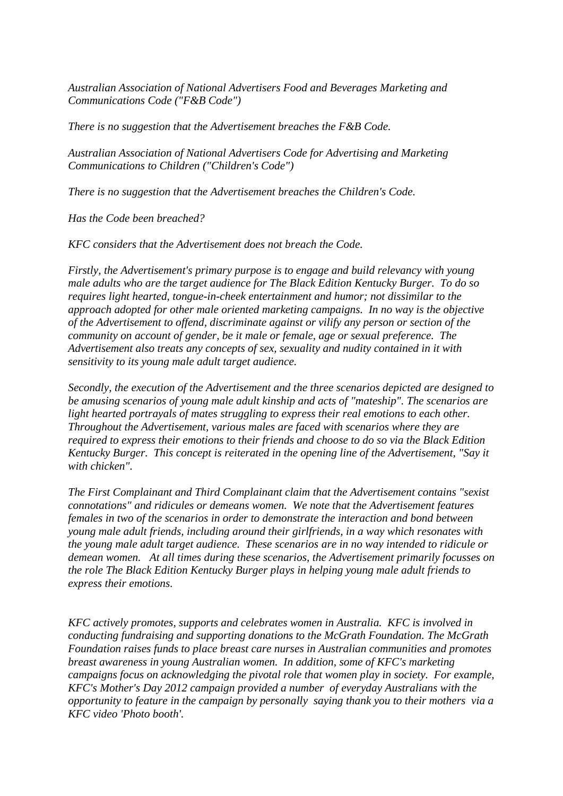*Australian Association of National Advertisers Food and Beverages Marketing and Communications Code ("F&B Code")*

*There is no suggestion that the Advertisement breaches the F&B Code.*

*Australian Association of National Advertisers Code for Advertising and Marketing Communications to Children ("Children's Code")*

*There is no suggestion that the Advertisement breaches the Children's Code.*

*Has the Code been breached?*

*KFC considers that the Advertisement does not breach the Code.*

*Firstly, the Advertisement's primary purpose is to engage and build relevancy with young male adults who are the target audience for The Black Edition Kentucky Burger. To do so requires light hearted, tongue-in-cheek entertainment and humor; not dissimilar to the approach adopted for other male oriented marketing campaigns. In no way is the objective of the Advertisement to offend, discriminate against or vilify any person or section of the community on account of gender, be it male or female, age or sexual preference. The Advertisement also treats any concepts of sex, sexuality and nudity contained in it with sensitivity to its young male adult target audience.*

*Secondly, the execution of the Advertisement and the three scenarios depicted are designed to be amusing scenarios of young male adult kinship and acts of "mateship". The scenarios are light hearted portrayals of mates struggling to express their real emotions to each other. Throughout the Advertisement, various males are faced with scenarios where they are required to express their emotions to their friends and choose to do so via the Black Edition Kentucky Burger. This concept is reiterated in the opening line of the Advertisement, "Say it with chicken".*

*The First Complainant and Third Complainant claim that the Advertisement contains "sexist connotations" and ridicules or demeans women. We note that the Advertisement features females in two of the scenarios in order to demonstrate the interaction and bond between young male adult friends, including around their girlfriends, in a way which resonates with the young male adult target audience. These scenarios are in no way intended to ridicule or demean women. At all times during these scenarios, the Advertisement primarily focusses on the role The Black Edition Kentucky Burger plays in helping young male adult friends to express their emotions.*

*KFC actively promotes, supports and celebrates women in Australia. KFC is involved in conducting fundraising and supporting donations to the McGrath Foundation. The McGrath Foundation raises funds to place breast care nurses in Australian communities and promotes breast awareness in young Australian women. In addition, some of KFC's marketing campaigns focus on acknowledging the pivotal role that women play in society. For example, KFC's Mother's Day 2012 campaign provided a number of everyday Australians with the opportunity to feature in the campaign by personally saying thank you to their mothers via a KFC video 'Photo booth'.*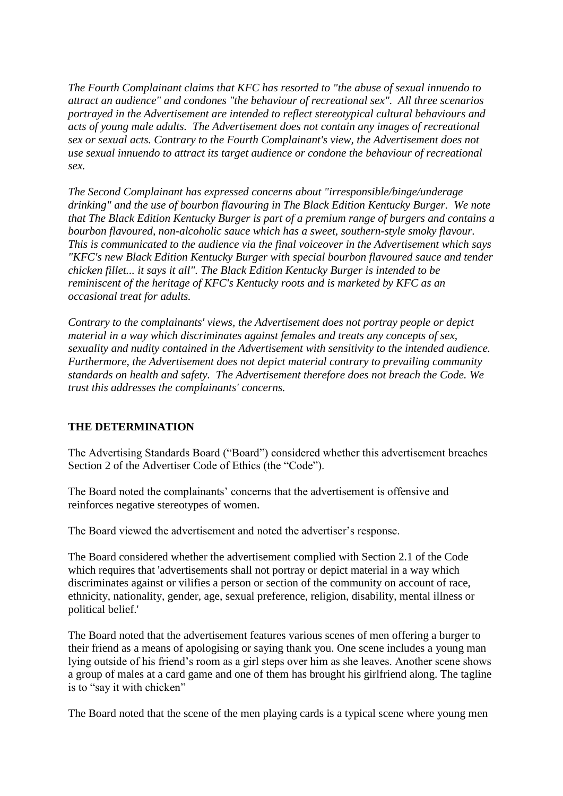*The Fourth Complainant claims that KFC has resorted to "the abuse of sexual innuendo to attract an audience" and condones "the behaviour of recreational sex". All three scenarios portrayed in the Advertisement are intended to reflect stereotypical cultural behaviours and acts of young male adults. The Advertisement does not contain any images of recreational sex or sexual acts. Contrary to the Fourth Complainant's view, the Advertisement does not use sexual innuendo to attract its target audience or condone the behaviour of recreational sex.*

*The Second Complainant has expressed concerns about "irresponsible/binge/underage drinking" and the use of bourbon flavouring in The Black Edition Kentucky Burger. We note that The Black Edition Kentucky Burger is part of a premium range of burgers and contains a bourbon flavoured, non-alcoholic sauce which has a sweet, southern-style smoky flavour. This is communicated to the audience via the final voiceover in the Advertisement which says "KFC's new Black Edition Kentucky Burger with special bourbon flavoured sauce and tender chicken fillet... it says it all". The Black Edition Kentucky Burger is intended to be reminiscent of the heritage of KFC's Kentucky roots and is marketed by KFC as an occasional treat for adults.*

*Contrary to the complainants' views, the Advertisement does not portray people or depict material in a way which discriminates against females and treats any concepts of sex, sexuality and nudity contained in the Advertisement with sensitivity to the intended audience. Furthermore, the Advertisement does not depict material contrary to prevailing community standards on health and safety. The Advertisement therefore does not breach the Code. We trust this addresses the complainants' concerns.*

## **THE DETERMINATION**

The Advertising Standards Board ("Board") considered whether this advertisement breaches Section 2 of the Advertiser Code of Ethics (the "Code").

The Board noted the complainants' concerns that the advertisement is offensive and reinforces negative stereotypes of women.

The Board viewed the advertisement and noted the advertiser"s response.

The Board considered whether the advertisement complied with Section 2.1 of the Code which requires that 'advertisements shall not portray or depict material in a way which discriminates against or vilifies a person or section of the community on account of race, ethnicity, nationality, gender, age, sexual preference, religion, disability, mental illness or political belief.'

The Board noted that the advertisement features various scenes of men offering a burger to their friend as a means of apologising or saying thank you. One scene includes a young man lying outside of his friend"s room as a girl steps over him as she leaves. Another scene shows a group of males at a card game and one of them has brought his girlfriend along. The tagline is to "say it with chicken"

The Board noted that the scene of the men playing cards is a typical scene where young men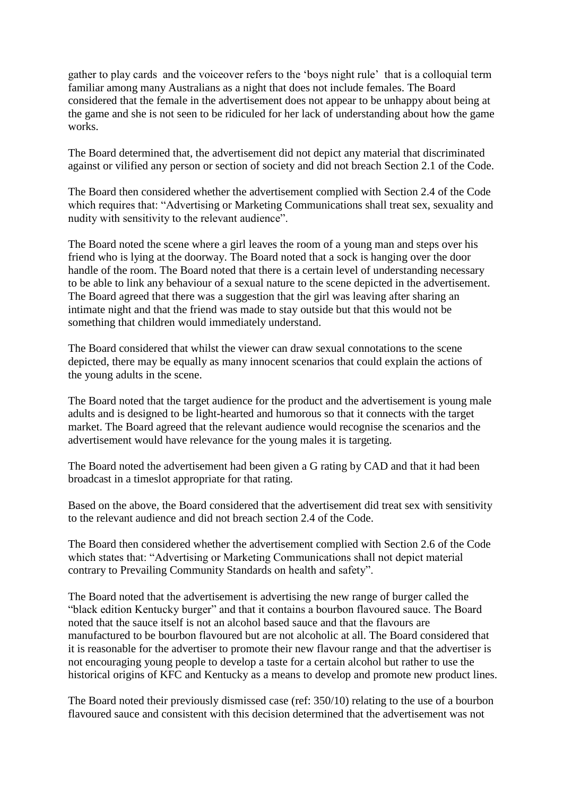gather to play cards and the voiceover refers to the "boys night rule" that is a colloquial term familiar among many Australians as a night that does not include females. The Board considered that the female in the advertisement does not appear to be unhappy about being at the game and she is not seen to be ridiculed for her lack of understanding about how the game works.

The Board determined that, the advertisement did not depict any material that discriminated against or vilified any person or section of society and did not breach Section 2.1 of the Code.

The Board then considered whether the advertisement complied with Section 2.4 of the Code which requires that: "Advertising or Marketing Communications shall treat sex, sexuality and nudity with sensitivity to the relevant audience".

The Board noted the scene where a girl leaves the room of a young man and steps over his friend who is lying at the doorway. The Board noted that a sock is hanging over the door handle of the room. The Board noted that there is a certain level of understanding necessary to be able to link any behaviour of a sexual nature to the scene depicted in the advertisement. The Board agreed that there was a suggestion that the girl was leaving after sharing an intimate night and that the friend was made to stay outside but that this would not be something that children would immediately understand.

The Board considered that whilst the viewer can draw sexual connotations to the scene depicted, there may be equally as many innocent scenarios that could explain the actions of the young adults in the scene.

The Board noted that the target audience for the product and the advertisement is young male adults and is designed to be light-hearted and humorous so that it connects with the target market. The Board agreed that the relevant audience would recognise the scenarios and the advertisement would have relevance for the young males it is targeting.

The Board noted the advertisement had been given a G rating by CAD and that it had been broadcast in a timeslot appropriate for that rating.

Based on the above, the Board considered that the advertisement did treat sex with sensitivity to the relevant audience and did not breach section 2.4 of the Code.

The Board then considered whether the advertisement complied with Section 2.6 of the Code which states that: "Advertising or Marketing Communications shall not depict material contrary to Prevailing Community Standards on health and safety".

The Board noted that the advertisement is advertising the new range of burger called the "black edition Kentucky burger" and that it contains a bourbon flavoured sauce. The Board noted that the sauce itself is not an alcohol based sauce and that the flavours are manufactured to be bourbon flavoured but are not alcoholic at all. The Board considered that it is reasonable for the advertiser to promote their new flavour range and that the advertiser is not encouraging young people to develop a taste for a certain alcohol but rather to use the historical origins of KFC and Kentucky as a means to develop and promote new product lines.

The Board noted their previously dismissed case (ref: 350/10) relating to the use of a bourbon flavoured sauce and consistent with this decision determined that the advertisement was not